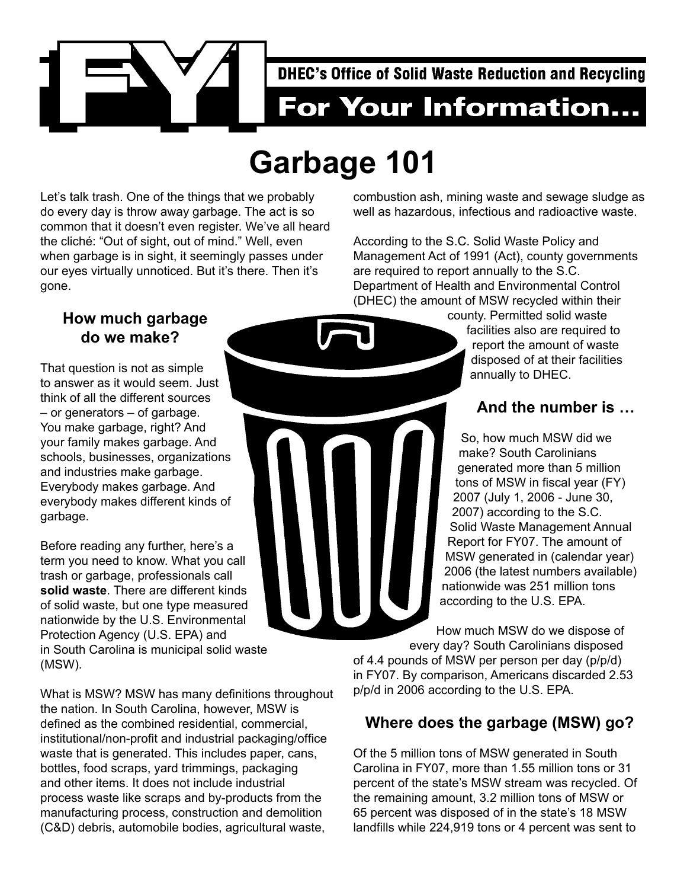

# **Garbage 101**

Let's talk trash. One of the things that we probably do every day is throw away garbage. The act is so common that it doesn't even register. We've all heard the cliché: "Out of sight, out of mind." Well, even when garbage is in sight, it seemingly passes under our eyes virtually unnoticed. But it's there. Then it's gone.

#### **How much garbage do we make?**

That question is not as simple to answer as it would seem. Just think of all the different sources – or generators – of garbage. You make garbage, right? And your family makes garbage. And schools, businesses, organizations and industries make garbage. Everybody makes garbage. And everybody makes different kinds of garbage.

Before reading any further, here's a term you need to know. What you call trash or garbage, professionals call **solid waste**. There are different kinds of solid waste, but one type measured nationwide by the U.S. Environmental Protection Agency (U.S. EPA) and in South Carolina is municipal solid waste (MSW).

What is MSW? MSW has many definitions throughout the nation. In South Carolina, however, MSW is defined as the combined residential, commercial, institutional/non-profit and industrial packaging/office waste that is generated. This includes paper, cans, bottles, food scraps, yard trimmings, packaging and other items. It does not include industrial process waste like scraps and by-products from the manufacturing process, construction and demolition (C&D) debris, automobile bodies, agricultural waste,

combustion ash, mining waste and sewage sludge as well as hazardous, infectious and radioactive waste.

According to the S.C. Solid Waste Policy and Management Act of 1991 (Act), county governments are required to report annually to the S.C. Department of Health and Environmental Control (DHEC) the amount of MSW recycled within their

county. Permitted solid waste facilities also are required to report the amount of waste disposed of at their facilities annually to DHEC.

#### **And the number is …**

So, how much MSW did we make? South Carolinians generated more than 5 million tons of MSW in fiscal year (FY) 2007 (July 1, 2006 - June 30, 2007) according to the S.C. Solid Waste Management Annual Report for FY07. The amount of MSW generated in (calendar year) 2006 (the latest numbers available) nationwide was 251 million tons according to the U.S. EPA.

How much MSW do we dispose of every day? South Carolinians disposed

of 4.4 pounds of MSW per person per day (p/p/d) in FY07. By comparison, Americans discarded 2.53 p/p/d in 2006 according to the U.S. EPA.

## **Where does the garbage (MSW) go?**

Of the 5 million tons of MSW generated in South Carolina in FY07, more than 1.55 million tons or 31 percent of the state's MSW stream was recycled. Of the remaining amount, 3.2 million tons of MSW or 65 percent was disposed of in the state's 18 MSW landfills while 224,919 tons or 4 percent was sent to